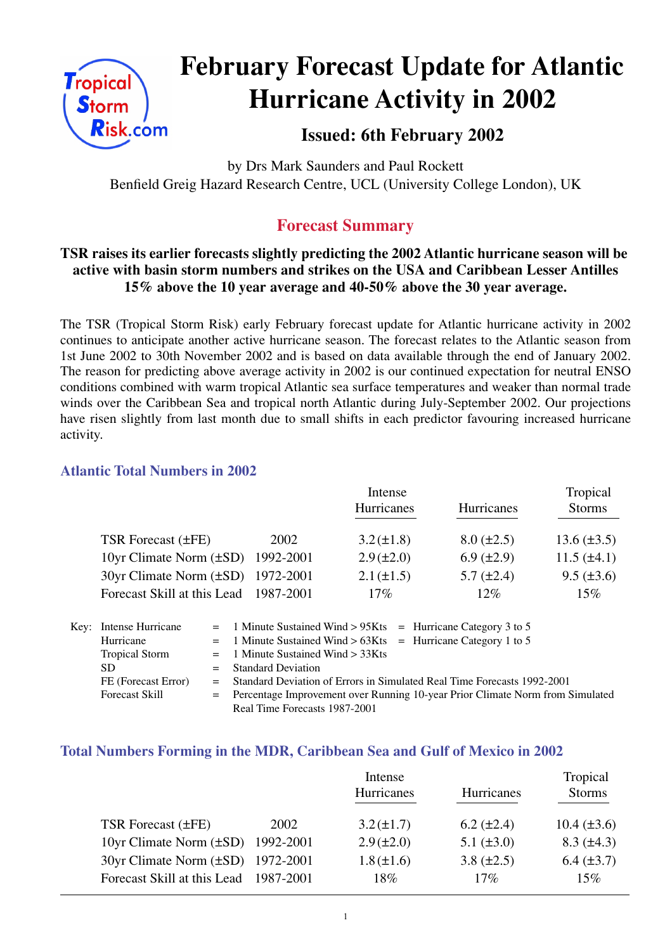

# **February Forecast Update for Atlantic Hurricane Activity in 2002**

## **Issued: 6th February 2002**

by Drs Mark Saunders and Paul Rockett Benfield Greig Hazard Research Centre, UCL (University College London), UK

## **Forecast Summary**

### **TSR raises its earlier forecasts slightly predicting the 2002 Atlantic hurricane season will be active with basin storm numbers and strikes on the USA and Caribbean Lesser Antilles 15% above the 10 year average and 40-50% above the 30 year average.**

The TSR (Tropical Storm Risk) early February forecast update for Atlantic hurricane activity in 2002 continues to anticipate another active hurricane season. The forecast relates to the Atlantic season from 1st June 2002 to 30th November 2002 and is based on data available through the end of January 2002. The reason for predicting above average activity in 2002 is our continued expectation for neutral ENSO conditions combined with warm tropical Atlantic sea surface temperatures and weaker than normal trade winds over the Caribbean Sea and tropical north Atlantic during July-September 2002. Our projections have risen slightly from last month due to small shifts in each predictor favouring increased hurricane activity.

#### **Atlantic Total Numbers in 2002**

|                                        |           | Intense           |                   | Tropical         |  |
|----------------------------------------|-----------|-------------------|-------------------|------------------|--|
|                                        |           | <b>Hurricanes</b> | Hurricanes        | <b>Storms</b>    |  |
| TSR Forecast $(\pm FE)$                | 2002      | $3.2 (\pm 1.8)$   | $8.0 (\pm 2.5)$   | $13.6 (\pm 3.5)$ |  |
| 10yr Climate Norm $(\pm SD)$ 1992-2001 |           | $2.9 (\pm 2.0)$   | $6.9 \ (\pm 2.9)$ | $11.5 (\pm 4.1)$ |  |
| 30yr Climate Norm (±SD) 1972-2001      |           | $2.1 (\pm 1.5)$   | $5.7 \ (\pm 2.4)$ | $9.5 (\pm 3.6)$  |  |
| Forecast Skill at this Lead            | 1987-2001 | 17%               | $12\%$            | 15%              |  |

| Key: Intense Hurricane |  | $=$ 1 Minute Sustained Wind > 95Kts $=$ Hurricane Category 3 to 5                                                                                            |  |  |
|------------------------|--|--------------------------------------------------------------------------------------------------------------------------------------------------------------|--|--|
| Hurricane              |  | $=$ 1 Minute Sustained Wind > 63Kts = Hurricane Category 1 to 5                                                                                              |  |  |
| <b>Tropical Storm</b>  |  | $=$ 1 Minute Sustained Wind $>$ 33Kts                                                                                                                        |  |  |
| SD.                    |  | $=$ Standard Deviation                                                                                                                                       |  |  |
| FE (Forecast Error)    |  | = Standard Deviation of Errors in Simulated Real Time Forecasts 1992-2001<br>= Percentage Improvement over Running 10-year Prior Climate Norm from Simulated |  |  |
| <b>Forecast Skill</b>  |  |                                                                                                                                                              |  |  |
|                        |  | Real Time Forecasts 1987-2001                                                                                                                                |  |  |

#### **Total Numbers Forming in the MDR, Caribbean Sea and Gulf of Mexico in 2002**

| Tropical          |
|-------------------|
| <b>Storms</b>     |
|                   |
| $10.4 (\pm 3.6)$  |
| $8.3 \ (\pm 4.3)$ |
| $6.4 (\pm 3.7)$   |
| 15%               |
|                   |